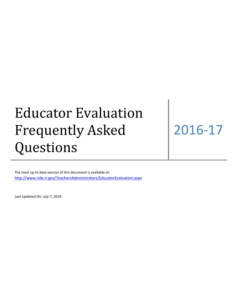# Educator Evaluation Frequently Asked Questions

## 2016-17

The most up to date version of this document is available at: <http://www.ride.ri.gov/TeachersAdministrators/EducatorEvaluation.aspx>

*Last Updated On: July 7, 2016*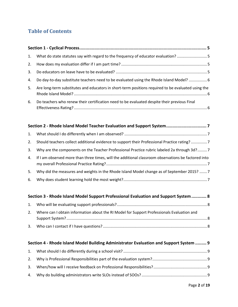#### **Table of Contents**

|    | 1. What do state statutes say with regard to the frequency of educator evaluation? 5               |
|----|----------------------------------------------------------------------------------------------------|
|    |                                                                                                    |
| 3. |                                                                                                    |
|    | 4. Do day-to-day substitute teachers need to be evaluated using the Rhode Island Model?  6         |
| 5. | Are long-term substitutes and educators in short-term positions required to be evaluated using the |
| 6. | Do teachers who renew their certification need to be evaluated despite their previous Final        |

| 2. | Should teachers collect additional evidence to support their Professional Practice rating? 7        |
|----|-----------------------------------------------------------------------------------------------------|
| 3. | Why are the components on the Teacher Professional Practice rubric labeled 2a through 3d?7          |
| 4. | If I am observed more than three times, will the additional classroom observations be factored into |
| 5. | Why did the measures and weights in the Rhode Island Model change as of September 2015?  7          |
| 6. |                                                                                                     |

| Section 3 - Rhode Island Model Support Professional Evaluation and Support System  8          |  |
|-----------------------------------------------------------------------------------------------|--|
|                                                                                               |  |
| 2. Where can I obtain information about the RI Model for Support Professionals Evaluation and |  |
|                                                                                               |  |

#### **Section 4 - [Rhode Island Model Building Administrator Evaluation and Support System](#page-8-0) ......... 9** [1. What should I do differently during a school visit?](#page-8-1)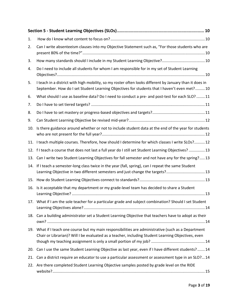| 1.  |                                                                                                                                                                                                            |
|-----|------------------------------------------------------------------------------------------------------------------------------------------------------------------------------------------------------------|
| 2.  | Can I write absenteeism clauses into my Objective Statement such as, "For those students who are                                                                                                           |
| 3.  |                                                                                                                                                                                                            |
| 4.  | Do I need to include all students for whom I am responsible for in my set of Student Learning                                                                                                              |
| 5.  | I teach in a district with high mobility, so my roster often looks different by January than it does in<br>September. How do I set Student Learning Objectives for students that I haven't even met? 10    |
| 6.  | What should I use as baseline data? Do I need to conduct a pre- and post-test for each SLO?  11                                                                                                            |
| 7.  |                                                                                                                                                                                                            |
| 8.  |                                                                                                                                                                                                            |
| 9.  |                                                                                                                                                                                                            |
| 10. | Is there guidance around whether or not to include student data at the end of the year for students                                                                                                        |
|     | 11. I teach multiple courses. Therefore, how should I determine for which classes I write SLOs? 12                                                                                                         |
|     | 12. f I teach a course that does not last a full year do I still set Student Learning Objectives?  13                                                                                                      |
|     | 13. Can I write two Student Learning Objectives for fall semester and not have any for the spring?13                                                                                                       |
|     | 14. If I teach a semester-long class twice in the year (fall, spring), can I repeat the same Student<br>Learning Objective in two different semesters and just change the targets? 13                      |
| 15. |                                                                                                                                                                                                            |
| 16. | Is it acceptable that my department or my grade-level team has decided to share a Student                                                                                                                  |
|     | 17. What if I am the sole teacher for a particular grade and subject combination? Should I set Student                                                                                                     |
|     | 18. Can a building administrator set a Student Learning Objective that teachers have to adopt as their                                                                                                     |
|     | 19. What if I teach one course but my main responsibilities are administrative (such as a Department<br>Chair or Librarian)? Will I be evaluated as a teacher, including Student Learning Objectives, even |
|     | 20. Can I use the same Student Learning Objective as last year, even if I have different students?  14                                                                                                     |
|     | 21. Can a district require an educator to use a particular assessment or assessment type in an SLO? 14                                                                                                     |
|     | 22. Are there completed Student Learning Objective samples posted by grade level on the RIDE                                                                                                               |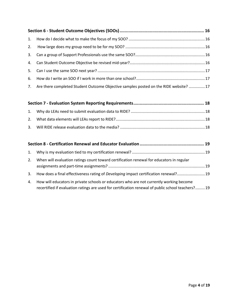| 7. Are there completed Student Outcome Objective samples posted on the RIDE website? 17 |  |
|-----------------------------------------------------------------------------------------|--|

| Mby do LEAs nood to submit ovaluation data to PIDE? | 10 |
|-----------------------------------------------------|----|

| 1. Why do LEAs need to submit evaluation data to RIDE? …………………………………………………………………18 |  |
|------------------------------------------------------------------------------------|--|
|                                                                                    |  |
|                                                                                    |  |

| $\mathbf{1}$ . |                                                                                                                                                                                               |  |
|----------------|-----------------------------------------------------------------------------------------------------------------------------------------------------------------------------------------------|--|
| 2.             | When will evaluation ratings count toward certification renewal for educators in regular                                                                                                      |  |
| 3.             | How does a final effectiveness rating of <i>Developing</i> impact certification renewal? 19                                                                                                   |  |
| 4.             | How will educators in private schools or educators who are not currently working become<br>recertified if evaluation ratings are used for certification renewal of public school teachers? 19 |  |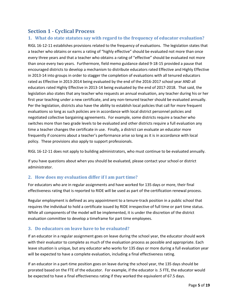#### <span id="page-4-0"></span>**Section 1 - Cyclical Process**

#### <span id="page-4-1"></span>**1. What do state statutes say with regard to the frequency of educator evaluation?**

RIGL 16-12-11 establishes provisions related to the frequency of evaluations. The legislation states that a teacher who obtains or earns a rating of "highly effective" should be evaluated not more than once every three years and that a teacher who obtains a rating of "effective" should be evaluated not more than once every two years. Furthermore, field memo guidance dated 9-18-15 provided a pause that encouraged districts to develop a mechanism to distribute educators rated Effective and Highly Effective in 2013-14 into groups in order to stagger the completion of evaluations with all tenured educators rated as Effective in 2013-2014 being evaluated by the end of the 2016-2017 school year AND all educators rated Highly Effective in 2013-14 being evaluated by the end of 2017-2018. That said, the legislation also states that any teacher who requests an annual evaluation, any teacher during his or her first year teaching under a new certificate, and any non-tenured teacher should be evaluated annually. Per the legislation, districts also have the ability to establish local policies that call for more frequent evaluations so long as such policies are in accordance with local district personnel policies and negotiated collective bargaining agreements. For example, some districts require a teacher who switches more than two grade levels to be evaluated and other districts require a full evaluation any time a teacher changes the certificate in use. Finally, a district can evaluate an educator more frequently if concerns about a teacher's performance arise so long as it is in accordance with local policy. These provisions also apply to support professionals.

RIGL 16-12-11 does not apply to building administrators, who must continue to be evaluated annually.

If you have questions about when you should be evaluated, please contact your school or district administrator.

#### <span id="page-4-2"></span>**2. How does my evaluation differ if I am part time?**

For educators who are in regular assignments and have worked for 135 days or more, their final effectiveness rating that is reported to RIDE will be used as part of the certification renewal process.

Regular employment is defined as any appointment to a tenure-track position in a public school that requires the individual to hold a certificate issued by RIDE irrespective of full time or part time status. While all components of the model will be implemented, it is under the discretion of the district evaluation committee to develop a timeframe for part time employees.

#### <span id="page-4-3"></span>**3. Do educators on leave have to be evaluated?**

If an educator in a regular assignment goes on leave during the school year, the educator should work with their evaluator to complete as much of the evaluation process as possible and appropriate. Each leave situation is unique, but any educator who works for 135 days or more during a full evaluation year will be expected to have a complete evaluation, including a final effectiveness rating.

If an educator in a part-time position goes on leave during the school year, the 135 days should be prorated based on the FTE of the educator. For example, if the educator is .5 FTE, the educator would be expected to have a final effectiveness rating if they worked the equivalent of 67.5 days.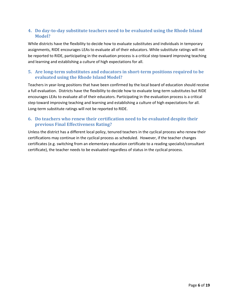#### <span id="page-5-0"></span>**4. Do day-to-day substitute teachers need to be evaluated using the Rhode Island Model?**

While districts have the flexibility to decide how to evaluate substitutes and individuals in temporary assignments, RIDE encourages LEAs to evaluate all of their educators. While substitute ratings will not be reported to RIDE, participating in the evaluation process is a critical step toward improving teaching and learning and establishing a culture of high expectations for all.

#### <span id="page-5-1"></span>**5. Are long-term substitutes and educators in short-term positions required to be evaluated using the Rhode Island Model?**

Teachers in year-long positions that have been confirmed by the local board of education should receive a full evaluation. Districts have the flexibility to decide how to evaluate long-term substitutes but RIDE encourages LEAs to evaluate all of their educators. Participating in the evaluation process is a critical step toward improving teaching and learning and establishing a culture of high expectations for all. Long-term substitute ratings will not be reported to RIDE.

#### <span id="page-5-2"></span>**6. Do teachers who renew their certification need to be evaluated despite their previous Final Effectiveness Rating?**

Unless the district has a different local policy, tenured teachers in the cyclical process who renew their certifications may continue in the cyclical process as scheduled. However, if the teacher changes certificates (e.g. switching from an elementary education certificate to a reading specialist/consultant certificate), the teacher needs to be evaluated regardless of status in the cyclical process.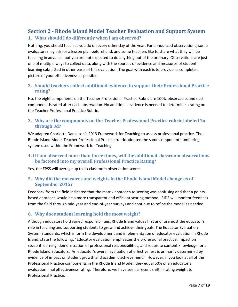#### <span id="page-6-1"></span><span id="page-6-0"></span>**Section 2 - Rhode Island Model Teacher Evaluation and Support System 1. What should I do differently when I am observed?**

Nothing, you should teach as you do on every other day of the year. For announced observations, some evaluators may ask for a lesson plan beforehand, and some teachers like to share what they will be teaching in advance, but you are not expected to do anything out of the ordinary. Observations are just one of multiple ways to collect data, along with the sources of evidence and measures of student learning submitted in other parts of this evaluation. The goal with each is to provide as complete a picture of your effectiveness as possible.

#### <span id="page-6-2"></span>**2. Should teachers collect additional evidence to support their Professional Practice rating?**

No, the eight components on the Teacher Professional Practice Rubric are 100% observable, and each component is rated after each observation. No additional evidence is needed to determine a rating on the Teacher Professional Practice Rubric.

#### <span id="page-6-3"></span>**3. Why are the components on the Teacher Professional Practice rubric labeled 2a through 3d?**

We adapted Charlotte Danielson's 2013 Framework for Teaching to assess professional practice. The Rhode Island Model Teacher Professional Practice rubric adopted the same component numbering system used within the Framework for Teaching.

#### <span id="page-6-4"></span>**4. If I am observed more than three times, will the additional classroom observations be factored into my overall Professional Practice Rating?**

Yes, the EPSS will average up to six classroom observation scores.

#### <span id="page-6-5"></span>**5. Why did the measures and weights in the Rhode Island Model change as of September 2015?**

Feedback from the field indicated that the matrix approach to scoring was confusing and that a pointsbased approach would be a more transparent and efficient scoring method. RIDE will monitor feedback from the field through mid-year and end-of-year surveys and continue to refine the model as needed.

#### <span id="page-6-6"></span>**6. Why does student learning hold the most weight?**

Although educators hold varied responsibilities, Rhode Island values first and foremost the educator's role in teaching and supporting students to grow and achieve their goals. The Educator Evaluation System Standards, which inform the development and implementation of educator evaluation in Rhode Island, state the following: "Educator evaluation emphasizes the professional practice, impact on student learning, demonstration of professional responsibilities, and requisite content knowledge for all Rhode Island Educators. An educator's overall evaluation of effectiveness is primarily determined by evidence of impact on student growth and academic achievement." However, if you look at all of the Professional Practice components in the Rhode Island Model, they equal 50% of an educator's evaluation final effectiveness rating. Therefore, we have seen a recent shift in rating weight to Professional Practice.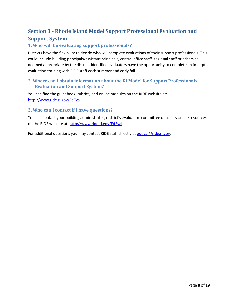#### <span id="page-7-0"></span>**Section 3 - Rhode Island Model Support Professional Evaluation and Support System**

#### <span id="page-7-1"></span>**1. Who will be evaluating support professionals?**

Districts have the flexibility to decide who will complete evaluations of their support professionals. This could include building principals/assistant principals, central office staff, regional staff or others as deemed appropriate by the district. Identified evaluators have the opportunity to complete an in-depth evaluation training with RIDE staff each summer and early fall. .

#### <span id="page-7-2"></span>**2. Where can I obtain information about the RI Model for Support Professionals Evaluation and Support System?**

You can find the guidebook, rubrics, and online modules on the RIDE website at: [http://www.ride.ri.gov/EdEval.](http://www.ride.ri.gov/EdEval)

#### <span id="page-7-3"></span>**3. Who can I contact if I have questions?**

You can contact your building administrator, district's evaluation committee or access online resources on the RIDE website at: [http://www.ride.ri.gov/EdEval.](http://www.ride.ri.gov/EdEval)

For additional questions you may contact RIDE staff directly at [edeval@ride.ri.gov.](mailto:edeval@ride.ri.gov)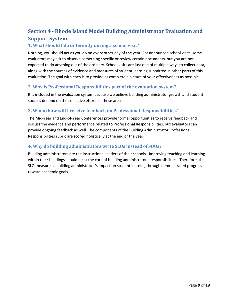#### <span id="page-8-0"></span>**Section 4 - Rhode Island Model Building Administrator Evaluation and Support System**

#### <span id="page-8-1"></span>**1. What should I do differently during a school visit?**

Nothing, you should act as you do on every other day of the year. For announced school visits, some evaluators may ask to observe something specific or review certain documents, but you are not expected to do anything out of the ordinary. School visits are just one of multiple ways to collect data, along with the sources of evidence and measures of student learning submitted in other parts of this evaluation. The goal with each is to provide as complete a picture of your effectiveness as possible.

#### <span id="page-8-2"></span>**2. Why is Professional Responsibilities part of the evaluation system?**

It is included in the evaluation system because we believe building administrator growth and student success depend on the collective efforts in these areas.

#### <span id="page-8-3"></span>**3. When/how will I receive feedback on Professional Responsibilities?**

The Mid-Year and End-of-Year Conferences provide formal opportunities to receive feedback and discuss the evidence and performance related to Professional Responsibilities, but evaluators can provide ongoing feedback as well. The components of the Building Administrator Professional Responsibilities rubric are scored holistically at the end of the year.

#### <span id="page-8-4"></span>**4. Why do building administrators write SLOs instead of SOOs?**

Building administrators are the instructional leaders of their schools. Improving teaching and learning within their buildings should be at the core of building administrators' responsibilities. Therefore, the SLO measures a building administrator's impact on student learning through demonstrated progress toward academic goals.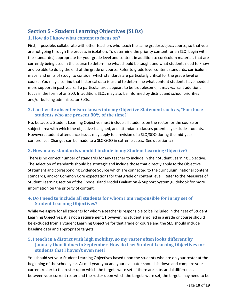## <span id="page-9-0"></span>**Section 5 - Student Learning Objectives (SLOs)**

#### <span id="page-9-1"></span>**1. How do I know what content to focus on?**

First, if possible, collaborate with other teachers who teach the same grade/subject/course, so that you are not going through the process in isolation. To determine the priority content for an SLO, begin with the standard(s) appropriate for your grade level and content in addition to curriculum materials that are currently being used in the course to determine what should be taught and what students need to know and be able to do by the end of the grade or course. Refer to grade level content standards, curriculum maps, and units of study, to consider which standards are particularly critical for the grade level or course. You may also find that historical data is useful to determine what content students have needed more support in past years. If a particular area appears to be troublesome, it may warrant additional focus in the form of an SLO. In addition, SLOs may also be informed by district and school priorities and/or building administrator SLOs.

#### <span id="page-9-2"></span>**2. Can I write absenteeism clauses into my Objective Statement such as, "For those students who are present 80% of the time?"**

No, because a Student Learning Objective must include all students on the roster for the course or subject area with which the objective is aligned, and attendance clauses potentially exclude students. However, student attendance issues may apply to a revision of a SLO/SOO during the mid-year conference. Changes can be made to a SLO/SOO in extreme cases. See question #9.

#### <span id="page-9-3"></span>**3. How many standards should I include in my Student Learning Objective?**

There is no correct number of standards for any teacher to include in their Student Learning Objective. The selection of standards should be strategic and include those that directly apply to the Objective Statement and corresponding Evidence Source which are connected to the curriculum, national content standards, and/or Common Core expectations for that grade or content level . Refer to the Measures of Student Learning section of the Rhode Island Model Evaluation & Support System guidebook for more information on the priority of content.

#### <span id="page-9-4"></span>**4. Do I need to include all students for whom I am responsible for in my set of Student Learning Objectives?**

While we aspire for all students for whom a teacher is responsible to be included in their set of Student Learning Objectives, it is not a requirement. However, no student enrolled in a grade or course should be excluded from a Student Learning Objective for that grade or course and the SLO should include baseline data and appropriate targets.

#### <span id="page-9-5"></span>**5. I teach in a district with high mobility, so my roster often looks different by January than it does in September. How do I set Student Learning Objectives for students that I haven't even met?**

You should set your Student Learning Objectives based upon the students who are on your roster at the beginning of the school year. At mid-year, you and your evaluator should sit down and compare your current roster to the roster upon which the targets were set. If there are substantial differences between your current roster and the roster upon which the targets were set, the targets may need to be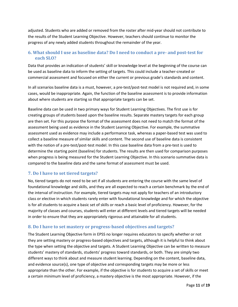adjusted. Students who are added or removed from the roster after mid-year should not contribute to the results of the Student Learning Objective. However, teachers should continue to monitor the progress of any newly added students throughout the remainder of the year.

#### <span id="page-10-0"></span>**6. What should I use as baseline data? Do I need to conduct a pre- and post-test for each SLO?**

Data that provides an indication of students' skill or knowledge level at the beginning of the course can be used as baseline data to inform the setting of targets. This could include a teacher-created or commercial assessment and focused on either the current or previous grade's standards and content.

In all scenarios baseline data is a must, however, a pre-test/post-test model is not required and, in some cases, would be inappropriate. Again, the function of the baseline assessment is to provide information about where students are starting so that appropriate targets can be set.

Baseline data can be used in two primary ways for Student Learning Objectives. The first use is for creating groups of students based upon the baseline results. Separate mastery targets for each group are then set. For this purpose the format of the assessment does not need to match the format of the assessment being used as evidence in the Student Learning Objective. For example, the summative assessment used as evidence may include a performance task, whereas a paper-based test was used to collect a baseline measure of similar skills and content. The second use of baseline data is consistent with the notion of a pre-test/post-test model. In this case baseline data from a pre-test is used to determine the starting point (baseline) for students. The results are then used for comparison purposes when progress is being measured for the Student Learning Objective. In this scenario summative data is compared to the baseline data and the same format of assessment must be used.

#### <span id="page-10-1"></span>**7. Do I have to set tiered targets?**

No, tiered targets do not need to be set if all students are entering the course with the same level of foundational knowledge and skills, and they are all expected to reach a certain benchmark by the end of the interval of instruction. For example, tiered targets may not apply for teachers of an introductory class or elective in which students rarely enter with foundational knowledge and for which the objective is for all students to acquire a basic set of skills or reach a basic level of proficiency. However, for the majority of classes and courses, students will enter at different levels and tiered targets will be needed in order to ensure that they are appropriately rigorous and attainable for all students.

#### <span id="page-10-2"></span>**8. Do I have to set mastery or progress-based objectives and targets?**

The Student Learning Objective form in EPSS no longer requires educators to specify whether or not they are setting mastery or progress-based objectives and targets, although it is helpful to think about the type when setting the objective and targets. A Student Learning Objective can be written to measure students' mastery of standards, students' progress toward standards, or both. They are simply two different ways to think about and measure student learning. Depending on the content, baseline data, and evidence source(s), one type of objective and corresponding targets may be more or less appropriate than the other. For example, if the objective is for students to acquire a set of skills or meet a certain minimum level of proficiency, a mastery objective is the most appropriate. However, if the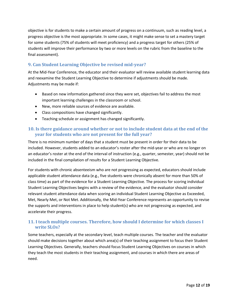objective is for students to make a certain amount of progress on a continuum, such as reading level, a progress objective is the most appropriate. In some cases, it might make sense to set a mastery target for some students (75% of students will meet proficiency) and a progress target for others (25% of students will improve their performance by two or more levels on the rubric from the baseline to the final assessment).

#### <span id="page-11-0"></span>**9. Can Student Learning Objective be revised mid-year?**

At the Mid-Year Conference, the educator and their evaluator will review available student learning data and reexamine the Student Learning Objective to determine if adjustments should be made. Adjustments may be made if:

- Based on new information gathered since they were set, objectives fail to address the most important learning challenges in the classroom or school.
- New, more reliable sources of evidence are available.
- Class compositions have changed significantly.
- Teaching schedule or assignment has changed significantly.

#### <span id="page-11-1"></span>**10. Is there guidance around whether or not to include student data at the end of the year for students who are not present for the full year?**

There is no minimum number of days that a student must be present in order for their data to be included. However, students added to an educator's roster after the mid-year or who are no longer on an educator's roster at the end of the interval of instruction (e.g., quarter, semester, year) should not be included in the final compilation of results for a Student Learning Objective.

For students with chronic absenteeism who are not progressing as expected, educators should include applicable student attendance data (e.g., five students were chronically absent for more than 50% of class time) as part of the evidence for a Student Learning Objective. The process for scoring individual Student Learning Objectives begins with a review of the evidence, and the evaluator should consider relevant student attendance data when scoring an individual Student Learning Objective as Exceeded, Met, Nearly Met, or Not Met. Additionally, the Mid-Year Conference represents an opportunity to revise the supports and interventions in place to help student(s) who are not progressing as expected, and accelerate their progress.

#### <span id="page-11-2"></span>**11. I teach multiple courses. Therefore, how should I determine for which classes I write SLOs?**

Some teachers, especially at the secondary level, teach multiple courses. The teacher and the evaluator should make decisions together about which area(s) of their teaching assignment to focus their Student Learning Objectives. Generally, teachers should focus Student Learning Objectives on courses in which they teach the most students in their teaching assignment, and courses in which there are areas of need.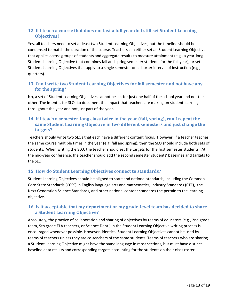#### <span id="page-12-0"></span>**12. If I teach a course that does not last a full year do I still set Student Learning Objectives?**

Yes, all teachers need to set at least two Student Learning Objectives, but the timeline should be condensed to match the duration of the course. Teachers can either set an Student Learning Objective that applies across groups of students and aggregate results to measure attainment (e.g., a year-long Student Learning Objective that combines fall and spring semester students for the full year), or set Student Learning Objectives that apply to a single semester or a shorter interval of instruction (e.g., quarters).

#### <span id="page-12-1"></span>**13. Can I write two Student Learning Objectives for fall semester and not have any for the spring?**

No, a set of Student Learning Objectives cannot be set for just one half of the school year and not the other. The intent is for SLOs to document the impact that teachers are making on student learning throughout the year and not just part of the year.

#### <span id="page-12-2"></span>**14. If I teach a semester-long class twice in the year (fall, spring), can I repeat the same Student Learning Objective in two different semesters and just change the targets?**

Teachers should write two SLOs that each have a different content focus. However, if a teacher teaches the same course multiple times in the year (e.g. fall and spring), then the SLO should include both sets of students. When writing the SLO, the teacher should set the targets for the first semester students. At the mid-year conference, the teacher should add the second semester students' baselines and targets to the SLO.

#### <span id="page-12-3"></span>**15. How do Student Learning Objectives connect to standards?**

Student Learning Objectives should be aligned to state and national standards, including the Common Core State Standards (CCSS) in English language arts and mathematics, Industry Standards (CTE), the Next Generation Science Standards, and other national content standards the pertain to the learning objective.

#### <span id="page-12-4"></span>**16. Is it acceptable that my department or my grade-level team has decided to share a Student Learning Objective?**

Absolutely, the practice of collaboration and sharing of objectives by teams of educators (e.g., 2nd grade team, 9th grade ELA teachers, or Science Dept.) in the Student Learning Objective writing process is encouraged whenever possible. However, identical Student Learning Objectives cannot be used by teams of teachers unless they are co-teachers of the same students. Teams of teachers who are sharing a Student Learning Objective might have the same language in most sections, but must have distinct baseline data results and corresponding targets accounting for the students on their class roster.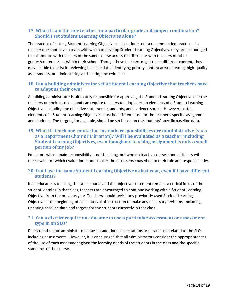#### <span id="page-13-0"></span>**17. What if I am the sole teacher for a particular grade and subject combination? Should I set Student Learning Objectives alone?**

The practice of setting Student Learning Objectives in isolation is not a recommended practice. If a teacher does not have a team with which to develop Student Learning Objectives, they are encouraged to collaborate with teachers of the same course across the district or with teachers of other grades/content areas within their school. Though these teachers might teach different content, they may be able to assist in reviewing baseline data, identifying priority content areas, creating high-quality assessments, or administering and scoring the evidence.

#### <span id="page-13-1"></span>**18. Can a building administrator set a Student Learning Objective that teachers have to adopt as their own?**

A building administrator is ultimately responsible for approving the Student Learning Objectives for the teachers on their case load and can require teachers to adopt certain elements of a Student Learning Objective, including the objective statement, standards, and evidence source. However, certain elements of a Student Learning Objectives must be differentiated for the teacher's specific assignment and students. The targets, for example, should be set based on the students' specific baseline data.

#### <span id="page-13-2"></span>**19. What if I teach one course but my main responsibilities are administrative (such as a Department Chair or Librarian)? Will I be evaluated as a teacher, including Student Learning Objectives, even though my teaching assignment is only a small portion of my job?**

Educators whose main responsibility is not teaching, but who do teach a course, should discuss with their evaluator which evaluation model makes the most sense based upon their role and responsibilities.

#### <span id="page-13-3"></span>**20. Can I use the same Student Learning Objective as last year, even if I have different students?**

If an educator is teaching the same course and the objective statement remains a critical focus of the student learning in that class, teachers are encouraged to continue working with a Student Learning Objective from the previous year. Teachers should revisit any previously used Student Learning Objective at the beginning of each interval of instruction to make any necessary revisions, including, updating baseline data and targets for the students currently in that class.

#### <span id="page-13-4"></span>**21. Can a district require an educator to use a particular assessment or assessment type in an SLO?**

District and school administrators may set additional expectations or parameters related to the SLO, including assessments. However, it is encouraged that all administrators consider the appropriateness of the use of each assessment given the learning needs of the students in the class and the specific standards of the course.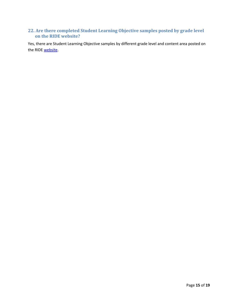#### <span id="page-14-0"></span>**22. Are there completed Student Learning Objective samples posted by grade level on the RIDE website?**

Yes, there are Student Learning Objective samples by different grade level and content area posted on the RIDE [website.](http://www.ride.ri.gov/TeachersAdministrators/EducatorEvaluation/StudentLearningOutcomesObjectives.aspx)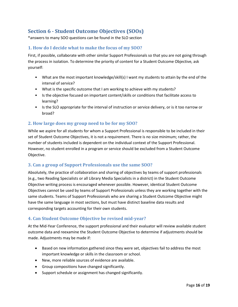#### <span id="page-15-0"></span>**Section 6 - Student Outcome Objectives (SOOs)**

\*answers to many SOO questions can be found in the SLO section

#### <span id="page-15-1"></span>**1. How do I decide what to make the focus of my SOO?**

First, if possible, collaborate with other similar Support Professionals so that you are not going through the process in isolation. To determine the priority of content for a Student Outcome Objective, ask yourself:

- What are the most important knowledge/skill(s) I want my students to attain by the end of the interval of service?
- What is the specific outcome that I am working to achieve with my students?
- Is the objective focused on important content/skills or conditions that facilitate access to learning?
- Is the SLO appropriate for the interval of instruction or service delivery, or is it too narrow or broad?

#### <span id="page-15-2"></span>**2. How large does my group need to be for my SOO?**

While we aspire for all students for whom a Support Professional is responsible to be included in their set of Student Outcome Objectives, it is not a requirement. There is no size minimum; rather, the number of students included is dependent on the individual context of the Support Professional. However, no student enrolled in a program or service should be excluded from a Student Outcome Objective.

#### <span id="page-15-3"></span>**3. Can a group of Support Professionals use the same SOO?**

Absolutely, the practice of collaboration and sharing of objectives by teams of support professionals (e.g., two Reading Specialists or all Library Media Specialists in a district) in the Student Outcome Objective writing process is encouraged whenever possible. However, identical Student Outcome Objectives cannot be used by teams of Support Professionals unless they are working together with the same students. Teams of Support Professionals who are sharing a Student Outcome Objective might have the same language in most sections, but must have distinct baseline data results and corresponding targets accounting for their own students.

#### <span id="page-15-4"></span>**4. Can Student Outcome Objective be revised mid-year?**

At the Mid-Year Conference, the support professional and their evaluator will review available student outcome data and reexamine the Student Outcome Objective to determine if adjustments should be made. Adjustments may be made if:

- Based on new information gathered since they were set, objectives fail to address the most important knowledge or skills in the classroom or school.
- New, more reliable sources of evidence are available.
- Group compositions have changed significantly.
- Support schedule or assignment has changed significantly.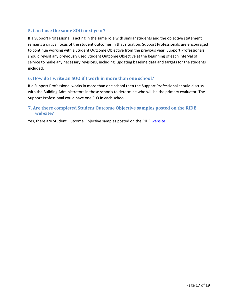#### <span id="page-16-0"></span>**5. Can I use the same SOO next year?**

If a Support Professional is acting in the same role with similar students and the objective statement remains a critical focus of the student outcomes in that situation, Support Professionals are encouraged to continue working with a Student Outcome Objective from the previous year. Support Professionals should revisit any previously used Student Outcome Objective at the beginning of each interval of service to make any necessary revisions, including, updating baseline data and targets for the students included.

#### <span id="page-16-1"></span>**6. How do I write an SOO if I work in more than one school?**

If a Support Professional works in more than one school then the Support Professional should discuss with the Building Administrators in those schools to determine who will be the primary evaluator. The Support Professional could have one SLO in each school.

#### <span id="page-16-2"></span>**7. Are there completed Student Outcome Objective samples posted on the RIDE website?**

Yes, there are Student Outcome Objective samples posted on the RIDE [website.](http://www.ride.ri.gov/TeachersAdministrators/EducatorEvaluation/StudentLearningOutcomesObjectives.aspx#16963-support-professionals)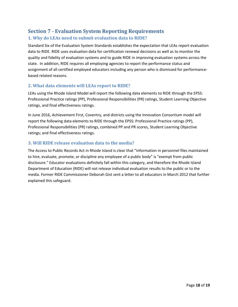#### <span id="page-17-1"></span><span id="page-17-0"></span>**Section 7 - Evaluation System Reporting Requirements 1. Why do LEAs need to submit evaluation data to RIDE?**

Standard Six of the Evaluation System Standards establishes the expectation that LEAs report evaluation data to RIDE. RIDE uses evaluation data for certification renewal decisions as well as to monitor the quality and fidelity of evaluation systems and to guide RIDE in improving evaluation systems across the state. In addition, RIDE requires all employing agencies to report the performance status and assignment of all certified employed educators including any person who is dismissed for performancebased related reasons.

#### <span id="page-17-2"></span>**2. What data elements will LEAs report to RIDE?**

LEAs using the Rhode Island Model will report the following data elements to RIDE through the EPSS: Professional Practice ratings (PP), Professional Responsibilities (PR) ratings, Student Learning Objective ratings, and final effectiveness ratings.

In June 2016, Achievement First, Coventry, and districts using the Innovation Consortium model will report the following data elements to RIDE through the EPSS: Professional Practice ratings (PP), Professional Responsibilities (PR) ratings, combined PP and PR scores, Student Learning Objective ratings; and final effectiveness ratings.

#### <span id="page-17-3"></span>**3. Will RIDE release evaluation data to the media?**

The Access to Public Records Act in Rhode Island is clear that "information in personnel files maintained to hire, evaluate, promote, or discipline any employee of a public body" is "exempt from public disclosure." Educator evaluations definitely fall within this category, and therefore the Rhode Island Department of Education (RIDE) will not release individual evaluation results to the public or to the media. Former RIDE Commissioner Deborah Gist sent a letter to all educators in March 2012 that further explained this safeguard.